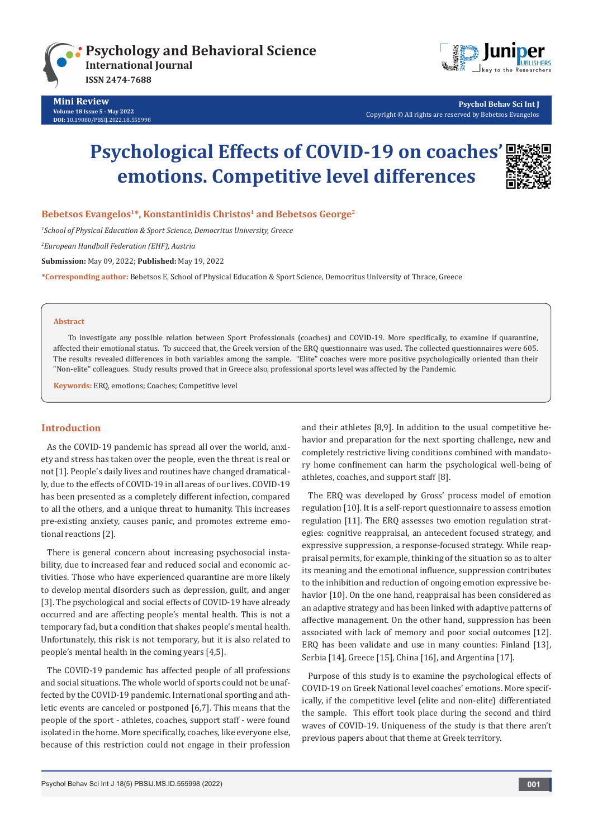



 **Psychol Behav Sci Int J** Copyright © All rights are reserved by Bebetsos Evangelos

# **Psychological Effects of COVID-19 on coaches emotions. Competitive level differences**



### **Bebetsos Evangelos1\*, Konstantinidis Christos1 and Bebetsos George2**

*1 School of Physical Education & Sport Science, Democritus University, Greece*

*2 European Handball Federation (EHF), Austria*

**Submission:** May 09, 2022; **Published:** May 19, 2022

**\*Corresponding author:** Bebetsos E, School of Physical Education & Sport Science, Democritus University of Thrace, Greece

#### **Abstract**

Το investigate any possible relation between Sport Professionals (coaches) and COVID-19. More specifically, to examine if quarantine, affected their emotional status. To succeed that, the Greek version of the ERQ questionnaire was used. The collected questionnaires were 605. The results revealed differences in both variables among the sample. "Elite" coaches were more positive psychologically oriented than their "Non-elite" colleagues. Study results proved that in Greece also, professional sports level was affected by the Pandemic.

**Keywords:** ERQ, emotions; Coaches; Competitive level

#### **Introduction**

As the COVID-19 pandemic has spread all over the world, anxiety and stress has taken over the people, even the threat is real or not [1]. People's daily lives and routines have changed dramatically, due to the effects of COVID-19 in all areas of our lives. COVID-19 has been presented as a completely different infection, compared to all the others, and a unique threat to humanity. This increases pre-existing anxiety, causes panic, and promotes extreme emotional reactions [2].

There is general concern about increasing psychosocial instability, due to increased fear and reduced social and economic activities. Those who have experienced quarantine are more likely to develop mental disorders such as depression, guilt, and anger [3]. The psychological and social effects of COVID-19 have already occurred and are affecting people's mental health. This is not a temporary fad, but a condition that shakes people's mental health. Unfortunately, this risk is not temporary, but it is also related to people's mental health in the coming years [4,5].

The COVID-19 pandemic has affected people of all professions and social situations. The whole world of sports could not be unaffected by the COVID-19 pandemic. International sporting and athletic events are canceled or postponed [6,7]. This means that the people of the sport - athletes, coaches, support staff - were found isolated in the home. More specifically, coaches, like everyone else, because of this restriction could not engage in their profession

and their athletes [8,9]. In addition to the usual competitive behavior and preparation for the next sporting challenge, new and completely restrictive living conditions combined with mandatory home confinement can harm the psychological well-being of athletes, coaches, and support staff [8].

The ERQ was developed by Gross' process model of emotion regulation [10]. It is a self-report questionnaire to assess emotion regulation [11]. The ERQ assesses two emotion regulation strategies: cognitive reappraisal, an antecedent focused strategy, and expressive suppression, a response-focused strategy. While reappraisal permits, for example, thinking of the situation so as to alter its meaning and the emotional influence, suppression contributes to the inhibition and reduction of ongoing emotion expressive behavior [10]. On the one hand, reappraisal has been considered as an adaptive strategy and has been linked with adaptive patterns of affective management. On the other hand, suppression has been associated with lack of memory and poor social outcomes [12]. ERQ has been validate and use in many counties: Finland [13], Serbia [14], Greece [15], China [16], and Argentina [17].

Purpose of this study is to examine the psychological effects of COVID-19 on Greek National level coaches' emotions. More specifically, if the competitive level (elite and non-elite) differentiated the sample. This effort took place during the second and third waves of COVID-19. Uniqueness of the study is that there aren't previous papers about that theme at Greek territory.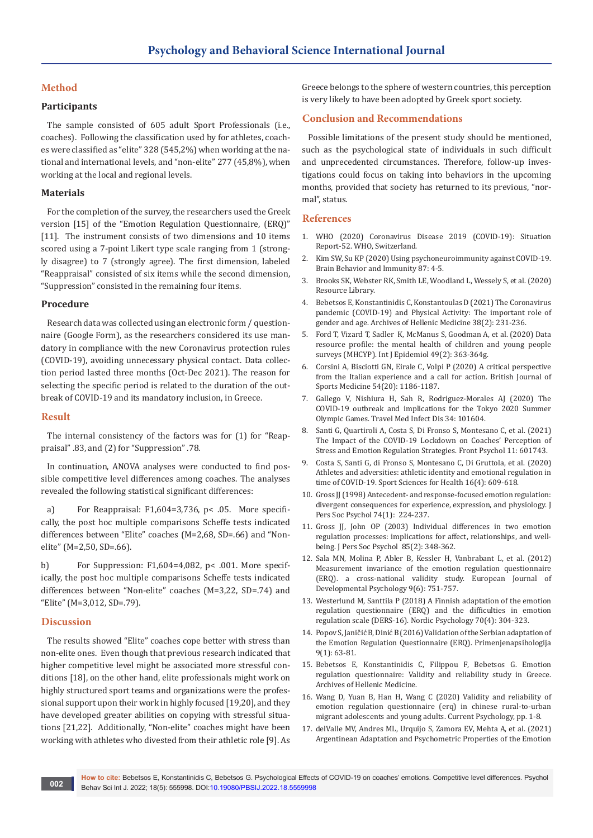# **Method**

### **Participants**

The sample consisted of 605 adult Sport Professionals (i.e., coaches). Following the classification used by for athletes, coaches were classified as "elite" 328 (545,2%) when working at the national and international levels, and "non-elite" 277 (45,8%), when working at the local and regional levels.

## **Materials**

For the completion of the survey, the researchers used the Greek version [15] of the "Emotion Regulation Questionnaire, (ERQ)" [11]. The instrument consists of two dimensions and 10 items scored using a 7-point Likert type scale ranging from 1 (strongly disagree) to 7 (strongly agree). The first dimension, labeled "Reappraisal" consisted of six items while the second dimension, "Suppression" consisted in the remaining four items.

### **Procedure**

Research data was collected using an electronic form / questionnaire (Google Form), as the researchers considered its use mandatory in compliance with the new Coronavirus protection rules (COVID-19), avoiding unnecessary physical contact. Data collection period lasted three months (Oct-Dec 2021). The reason for selecting the specific period is related to the duration of the outbreak of COVID-19 and its mandatory inclusion, in Greece.

#### **Result**

The internal consistency of the factors was for (1) for "Reappraisal" .83, and (2) for "Suppression" .78.

In continuation, ANOVA analyses were conducted to find possible competitive level differences among coaches. The analyses revealed the following statistical significant differences:

a) For Reappraisal: F1,604=3,736, p< .05. More specifically, the post hoc multiple comparisons Scheffe tests indicated differences between "Elite" coaches (M=2,68, SD=.66) and "Nonelite" (M=2,50, SD=.66).

b) For Suppression: F1,604=4,082, p< .001. More specifically, the post hoc multiple comparisons Scheffe tests indicated differences between "Non-elite" coaches (M=3,22, SD=.74) and "Elite" (M=3,012, SD=.79).

#### **Discussion**

The results showed "Elite" coaches cope better with stress than non-elite ones. Even though that previous research indicated that higher competitive level might be associated more stressful conditions [18], on the other hand, elite professionals might work on highly structured sport teams and organizations were the professional support upon their work in highly focused [19,20], and they have developed greater abilities on copying with stressful situations [21,22]. Additionally, "Non-elite" coaches might have been working with athletes who divested from their athletic role [9]. As

Greece belongs to the sphere of western countries, this perception is very likely to have been adopted by Greek sport society.

## **Conclusion and Recommendations**

Possible limitations of the present study should be mentioned, such as the psychological state of individuals in such difficult and unprecedented circumstances. Therefore, follow-up investigations could focus on taking into behaviors in the upcoming months, provided that society has returned to its previous, "normal", status.

# **References**

- 1. [WHO \(2020\) Coronavirus Disease 2019 \(COVID-19\): Situation](https://www.who.int/docs/default-source/coronaviruse/situation-reports/20200312-sitrep-52-covid)  [Report-52. WHO, Switzerland.](https://www.who.int/docs/default-source/coronaviruse/situation-reports/20200312-sitrep-52-covid)
- 2. [Kim SW, Su KP \(2020\) Using psychoneuroimmunity against COVID-19.](https://pubmed.ncbi.nlm.nih.gov/32234338/)  [Brain Behavior and Immunity 87: 4-5.](https://pubmed.ncbi.nlm.nih.gov/32234338/)
- 3. [Brooks SK, Webster RK, Smith LE, Woodland L, Wessely S, et al. \(2020\)](https://nccdh.ca/resources/entry/the-psychological-impact-of-quarantine-and-how-to-reduce-it-rapid-review-of,%20395(10227),%20912-920)  [Resource Library.](https://nccdh.ca/resources/entry/the-psychological-impact-of-quarantine-and-how-to-reduce-it-rapid-review-of,%20395(10227),%20912-920)
- 4. [Bebetsos E, Konstantinidis C, Konstantoulas D \(2021\) The Coronavirus](https://pesquisa.bvsalud.org/global-literature-on-novel-coronavirus-2019-ncov/resource/pt/covidwho-1158756)  [pandemic \(COVID-19\) and Physical Activity: The important role of](https://pesquisa.bvsalud.org/global-literature-on-novel-coronavirus-2019-ncov/resource/pt/covidwho-1158756)  [gender and age. Archives of Hellenic Medicine](https://pesquisa.bvsalud.org/global-literature-on-novel-coronavirus-2019-ncov/resource/pt/covidwho-1158756) 38(2): 231-236.
- 5. [Ford T, Vizard T, Sadler K, McManus S, Goodman A, et al. \(2020\) Data](https://pubmed.ncbi.nlm.nih.gov/31953946/)  [resource profile: the mental health of children and young people](https://pubmed.ncbi.nlm.nih.gov/31953946/)  surveys (MHCYP). [Int J Epidemiol 49\(2\): 363-364g.](https://pubmed.ncbi.nlm.nih.gov/31953946/)
- 6. [Corsini A, Bisciotti GN, Eirale C, Volpi P \(2020\) A critical perspective](https://bjsm.bmj.com/content/54/20/1186)  [from the Italian experience and a call for action. British Journal of](https://bjsm.bmj.com/content/54/20/1186)  [Sports Medicine 54\(20\): 1186-1187.](https://bjsm.bmj.com/content/54/20/1186)
- 7. [Gallego V, Nishiura H, Sah R, Rodriguez-Morales AJ \(2020\) The](https://pubmed.ncbi.nlm.nih.gov/32112859/)  [COVID-19 outbreak and implications for the Tokyo 2020 Summer](https://pubmed.ncbi.nlm.nih.gov/32112859/)  [Olympic Games. Travel Med Infect Dis 34: 101604.](https://pubmed.ncbi.nlm.nih.gov/32112859/)
- 8. [Santi G, Quartiroli A, Costa S, Di Fronso S, Montesano C, et al. \(2021\)](https://pubmed.ncbi.nlm.nih.gov/33584438/)  [The Impact of the COVID-19 Lockdown on Coaches' Perception of](https://pubmed.ncbi.nlm.nih.gov/33584438/)  [Stress and Emotion Regulation Strategies. Front Psychol 11: 601743.](https://pubmed.ncbi.nlm.nih.gov/33584438/)
- 9. [Costa S, Santi G, di Fronso S, Montesano C, Di Gruttola, et al. \(2020\)](https://link.springer.com/article/10.1007/s11332-020-00677-9)  [Athletes and adversities: athletic identity and emotional regulation in](https://link.springer.com/article/10.1007/s11332-020-00677-9)  [time of COVID-19. Sport Sciences for Health 16\(4\): 609-618.](https://link.springer.com/article/10.1007/s11332-020-00677-9)
- 10. [Gross JJ \(1998\) Antecedent- and response-focused emotion regulation:](https://pubmed.ncbi.nlm.nih.gov/9457784/)  [divergent consequences for experience, expression, and physiology. J](https://pubmed.ncbi.nlm.nih.gov/9457784/)  [Pers Soc Psychol 74\(1\): 224-237.](https://pubmed.ncbi.nlm.nih.gov/9457784/)
- 11. [Gross JJ, John OP \(2003\) Individual differences in two emotion](https://pubmed.ncbi.nlm.nih.gov/12916575/)  [regulation processes: implications for affect, relationships, and well](https://pubmed.ncbi.nlm.nih.gov/12916575/)[being. J Pers Soc Psychol 85\(2\): 348-362.](https://pubmed.ncbi.nlm.nih.gov/12916575/)
- 12. [Sala MN, Molina P, Abler B, Kessler H, Vanbrabant L, et al. \(2012\)](https://psycnet.apa.org/record/2012-29560-011)  [Measurement invariance of the emotion regulation questionnaire](https://psycnet.apa.org/record/2012-29560-011)  [\(ERQ\). a cross-national validity study. European Journal of](https://psycnet.apa.org/record/2012-29560-011)  [Developmental Psychology 9\(6\): 751-757.](https://psycnet.apa.org/record/2012-29560-011)
- 13. [Westerlund M, Santtila P \(2018\) A Finnish adaptation of the emotion](https://www.tandfonline.com/doi/abs/10.1080/19012276.2018.1443279)  [regulation questionnaire \(ERQ\) and the difficulties in emotion](https://www.tandfonline.com/doi/abs/10.1080/19012276.2018.1443279)  [regulation scale \(DERS-16\). Nordic Psychology 70\(4\): 304-323.](https://www.tandfonline.com/doi/abs/10.1080/19012276.2018.1443279)
- 14. [Popov S, Janičić B, Dinić B \(2016\) Validation of the Serbian adaptation of](https://primenjena.psihologija.ff.uns.ac.rs/index.php/pp/article/view/1635)  [the Emotion Regulation Questionnaire \(ERQ\). Primenjenapsihologija](https://primenjena.psihologija.ff.uns.ac.rs/index.php/pp/article/view/1635)  [9\(1\): 63-81.](https://primenjena.psihologija.ff.uns.ac.rs/index.php/pp/article/view/1635)
- 15. Bebetsos E, Konstantinidis C, Filippou F, Bebetsos G. Emotion regulation questionnaire: Validity and reliability study in Greece. Archives of Hellenic Medicine.
- 16. [Wang D, Yuan B, Han H, Wang C \(2020\) Validity and reliability of](https://psycnet.apa.org/record/2020-29926-001)  [emotion regulation questionnaire \(erq\) in chinese rural-to-urban](https://psycnet.apa.org/record/2020-29926-001)  [migrant adolescents and young adults. Current Psychology, pp. 1-8.](https://psycnet.apa.org/record/2020-29926-001)
- 17. [delValle MV, Andres ML, Urquijo S, Zamora EV, Mehta A, et al. \(2021\)](https://journals.sagepub.com/doi/abs/10.1177/00332941211021343)  [Argentinean Adaptation and Psychometric Properties of the Emotion](https://journals.sagepub.com/doi/abs/10.1177/00332941211021343)